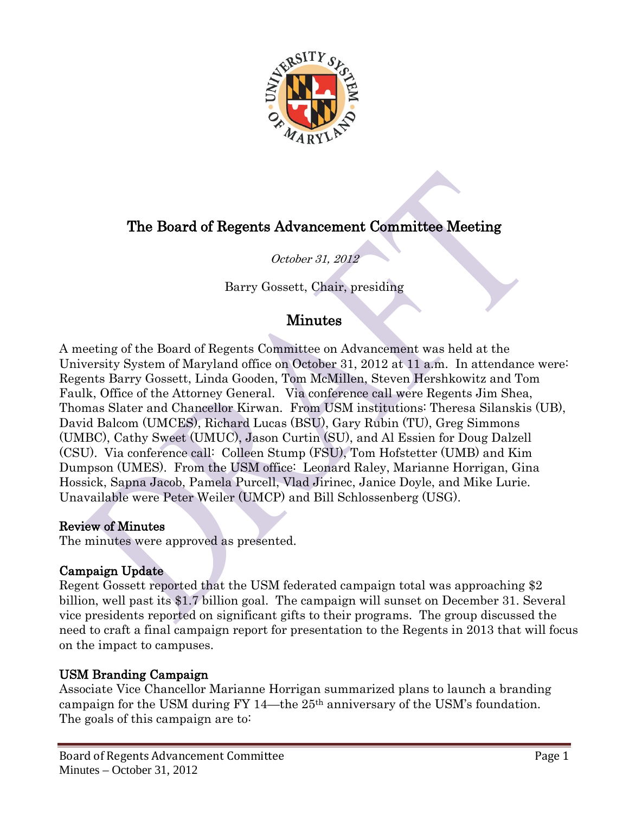

# The Board of Regents Advancement Committee Meeting

## October 31, 2012

Barry Gossett, Chair, presiding

## Minutes

A meeting of the Board of Regents Committee on Advancement was held at the University System of Maryland office on October 31, 2012 at 11 a.m. In attendance were: Regents Barry Gossett, Linda Gooden, Tom McMillen, Steven Hershkowitz and Tom Faulk, Office of the Attorney General. Via conference call were Regents Jim Shea, Thomas Slater and Chancellor Kirwan. From USM institutions: Theresa Silanskis (UB), David Balcom (UMCES), Richard Lucas (BSU), Gary Rubin (TU), Greg Simmons (UMBC), Cathy Sweet (UMUC), Jason Curtin (SU), and Al Essien for Doug Dalzell (CSU). Via conference call: Colleen Stump (FSU), Tom Hofstetter (UMB) and Kim Dumpson (UMES). From the USM office: Leonard Raley, Marianne Horrigan, Gina Hossick, Sapna Jacob, Pamela Purcell, Vlad Jirinec, Janice Doyle, and Mike Lurie. Unavailable were Peter Weiler (UMCP) and Bill Schlossenberg (USG).

#### Review of Minutes

The minutes were approved as presented.

## Campaign Update

Regent Gossett reported that the USM federated campaign total was approaching \$2 billion, well past its \$1.7 billion goal. The campaign will sunset on December 31. Several vice presidents reported on significant gifts to their programs. The group discussed the need to craft a final campaign report for presentation to the Regents in 2013 that will focus on the impact to campuses.

## USM Branding Campaign

Associate Vice Chancellor Marianne Horrigan summarized plans to launch a branding campaign for the USM during FY 14—the 25th anniversary of the USM's foundation. The goals of this campaign are to: